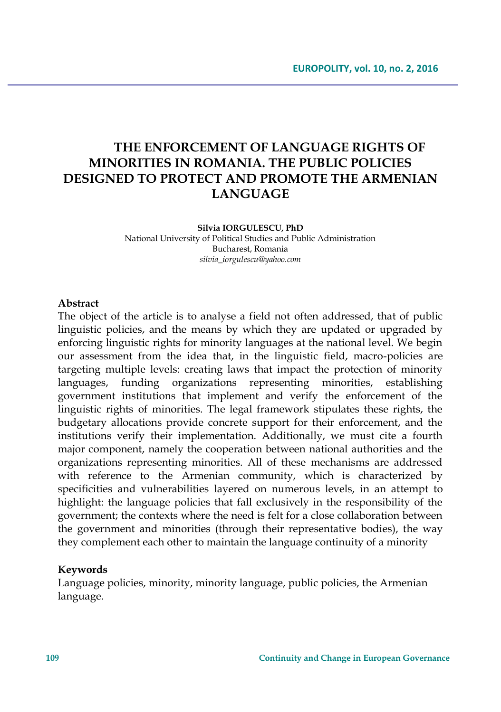# **THE ENFORCEMENT OF LANGUAGE RIGHTS OF MINORITIES IN ROMANIA. THE PUBLIC POLICIES DESIGNED TO PROTECT AND PROMOTE THE ARMENIAN LANGUAGE**

#### **Silvia IORGULESCU, PhD**

National University of Political Studies and Public Administration Bucharest, Romania *silvia\_iorgulescu@yahoo.com*

#### **Abstract**

The object of the article is to analyse a field not often addressed, that of public linguistic policies, and the means by which they are updated or upgraded by enforcing linguistic rights for minority languages at the national level. We begin our assessment from the idea that, in the linguistic field, macro-policies are targeting multiple levels: creating laws that impact the protection of minority languages, funding organizations representing minorities, establishing government institutions that implement and verify the enforcement of the linguistic rights of minorities. The legal framework stipulates these rights, the budgetary allocations provide concrete support for their enforcement, and the institutions verify their implementation. Additionally, we must cite a fourth major component, namely the cooperation between national authorities and the organizations representing minorities. All of these mechanisms are addressed with reference to the Armenian community, which is characterized by specificities and vulnerabilities layered on numerous levels, in an attempt to highlight: the language policies that fall exclusively in the responsibility of the government; the contexts where the need is felt for a close collaboration between the government and minorities (through their representative bodies), the way they complement each other to maintain the language continuity of a minority

#### **Keywords**

Language policies, minority, minority language, public policies, the Armenian language.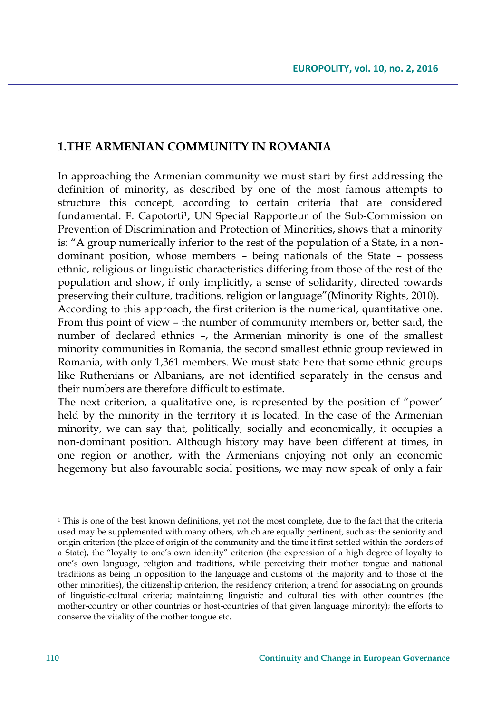### **1.THE ARMENIAN COMMUNITY IN ROMANIA**

In approaching the Armenian community we must start by first addressing the definition of minority, as described by one of the most famous attempts to structure this concept, according to certain criteria that are considered fundamental. F. Capotorti<sup>1</sup> , UN Special Rapporteur of the Sub-Commission on Prevention of Discrimination and Protection of Minorities, shows that a minority is: "A group numerically inferior to the rest of the population of a State, in a nondominant position, whose members – being nationals of the State – possess ethnic, religious or linguistic characteristics differing from those of the rest of the population and show, if only implicitly, a sense of solidarity, directed towards preserving their culture, traditions, religion or language"(Minority Rights, 2010). According to this approach, the first criterion is the numerical, quantitative one. From this point of view – the number of community members or, better said, the number of declared ethnics –, the Armenian minority is one of the smallest

minority communities in Romania, the second smallest ethnic group reviewed in Romania, with only 1,361 members. We must state here that some ethnic groups like Ruthenians or Albanians, are not identified separately in the census and their numbers are therefore difficult to estimate.

The next criterion, a qualitative one, is represented by the position of "power' held by the minority in the territory it is located. In the case of the Armenian minority, we can say that, politically, socially and economically, it occupies a non-dominant position. Although history may have been different at times, in one region or another, with the Armenians enjoying not only an economic hegemony but also favourable social positions, we may now speak of only a fair

<sup>&</sup>lt;sup>1</sup> This is one of the best known definitions, yet not the most complete, due to the fact that the criteria used may be supplemented with many others, which are equally pertinent, such as: the seniority and origin criterion (the place of origin of the community and the time it first settled within the borders of a State), the "loyalty to one's own identity" criterion (the expression of a high degree of loyalty to one's own language, religion and traditions, while perceiving their mother tongue and national traditions as being in opposition to the language and customs of the majority and to those of the other minorities), the citizenship criterion, the residency criterion; a trend for associating on grounds of linguistic-cultural criteria; maintaining linguistic and cultural ties with other countries (the mother-country or other countries or host-countries of that given language minority); the efforts to conserve the vitality of the mother tongue etc.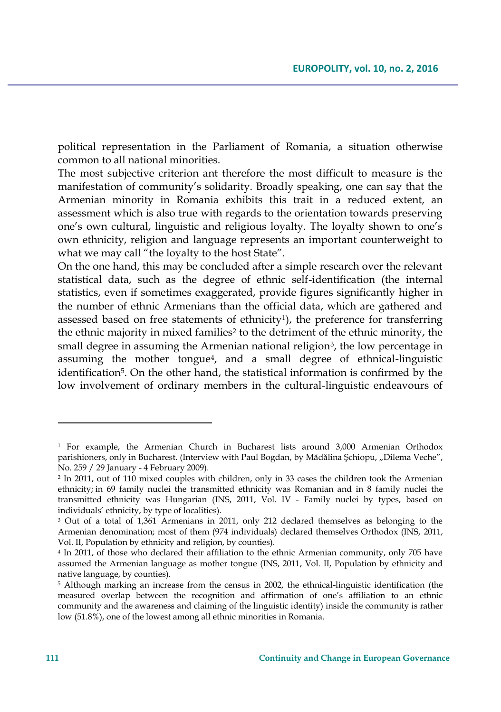political representation in the Parliament of Romania, a situation otherwise common to all national minorities.

The most subjective criterion ant therefore the most difficult to measure is the manifestation of community's solidarity. Broadly speaking, one can say that the Armenian minority in Romania exhibits this trait in a reduced extent, an assessment which is also true with regards to the orientation towards preserving one's own cultural, linguistic and religious loyalty. The loyalty shown to one's own ethnicity, religion and language represents an important counterweight to what we may call "the loyalty to the host State".

On the one hand, this may be concluded after a simple research over the relevant statistical data, such as the degree of ethnic self-identification (the internal statistics, even if sometimes exaggerated, provide figures significantly higher in the number of ethnic Armenians than the official data, which are gathered and assessed based on free statements of ethnicity<sup>1</sup>), the preference for transferring the ethnic majority in mixed families<sup>2</sup> to the detriment of the ethnic minority, the small degree in assuming the Armenian national religion<sup>3</sup>, the low percentage in assuming the mother tongue<sup>4</sup>, and a small degree of ethnical-linguistic identification<sup>5</sup>. On the other hand, the statistical information is confirmed by the low involvement of ordinary members in the cultural-linguistic endeavours of

<sup>1</sup> For example, the Armenian Church in Bucharest lists around 3,000 Armenian Orthodox parishioners, only in Bucharest. (Interview with Paul Bogdan, by Mădălina Șchiopu, "Dilema Veche", No. 259 / 29 January - 4 February 2009).

<sup>2</sup> In 2011, out of 110 mixed couples with children, only in 33 cases the children took the Armenian ethnicity; in 69 family nuclei the transmitted ethnicity was Romanian and in 8 family nuclei the transmitted ethnicity was Hungarian (INS, 2011, Vol. IV - Family nuclei by types, based on individuals' ethnicity, by type of localities).

<sup>3</sup> Out of a total of 1,361 Armenians in 2011, only 212 declared themselves as belonging to the Armenian denomination; most of them (974 individuals) declared themselves Orthodox (INS, 2011, Vol. II, Population by ethnicity and religion, by counties).

<sup>4</sup> In 2011, of those who declared their affiliation to the ethnic Armenian community, only 705 have assumed the Armenian language as mother tongue (INS, 2011, Vol. II, Population by ethnicity and native language, by counties).

<sup>5</sup> Although marking an increase from the census in 2002, the ethnical-linguistic identification (the measured overlap between the recognition and affirmation of one's affiliation to an ethnic community and the awareness and claiming of the linguistic identity) inside the community is rather low (51.8%), one of the lowest among all ethnic minorities in Romania.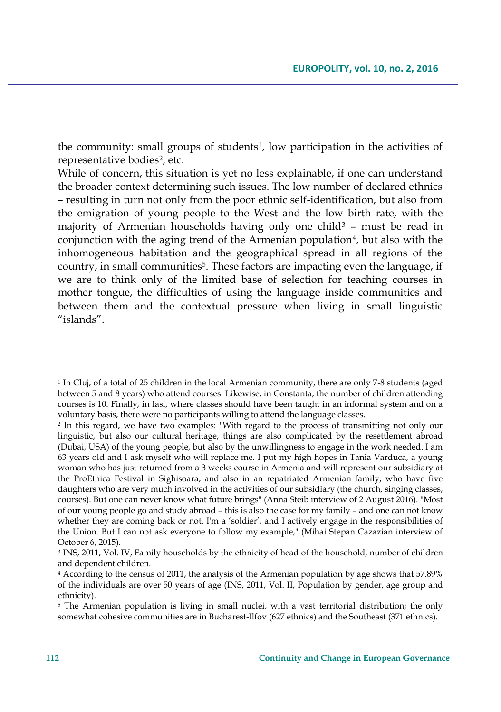the community: small groups of students<sup>1</sup>, low participation in the activities of representative bodies<sup>2</sup>, etc.

While of concern, this situation is yet no less explainable, if one can understand the broader context determining such issues. The low number of declared ethnics – resulting in turn not only from the poor ethnic self-identification, but also from the emigration of young people to the West and the low birth rate, with the majority of Armenian households having only one child<sup>3</sup> – must be read in conjunction with the aging trend of the Armenian population<sup>4</sup>, but also with the inhomogeneous habitation and the geographical spread in all regions of the country, in small communities<sup>5</sup>. These factors are impacting even the language, if we are to think only of the limited base of selection for teaching courses in mother tongue, the difficulties of using the language inside communities and between them and the contextual pressure when living in small linguistic "islands".

<sup>1</sup> In Cluj, of a total of 25 children in the local Armenian community, there are only 7-8 students (aged between 5 and 8 years) who attend courses. Likewise, in Constanta, the number of children attending courses is 10. Finally, in Iasi, where classes should have been taught in an informal system and on a voluntary basis, there were no participants willing to attend the language classes.

<sup>2</sup> In this regard, we have two examples: "With regard to the process of transmitting not only our linguistic, but also our cultural heritage, things are also complicated by the resettlement abroad (Dubai, USA) of the young people, but also by the unwillingness to engage in the work needed. I am 63 years old and I ask myself who will replace me. I put my high hopes in Tania Varduca, a young woman who has just returned from a 3 weeks course in Armenia and will represent our subsidiary at the ProEtnica Festival in Sighisoara, and also in an repatriated Armenian family, who have five daughters who are very much involved in the activities of our subsidiary (the church, singing classes, courses). But one can never know what future brings" (Anna Steib interview of 2 August 2016). "Most of our young people go and study abroad – this is also the case for my family – and one can not know whether they are coming back or not. I'm a 'soldier', and I actively engage in the responsibilities of the Union. But I can not ask everyone to follow my example," (Mihai Stepan Cazazian interview of October 6, 2015).

<sup>3</sup> INS, 2011, Vol. IV, Family households by the ethnicity of head of the household, number of children and dependent children.

<sup>4</sup> According to the census of 2011, the analysis of the Armenian population by age shows that 57.89% of the individuals are over 50 years of age (INS, 2011, Vol. II, Population by gender, age group and ethnicity).

<sup>&</sup>lt;sup>5</sup> The Armenian population is living in small nuclei, with a vast territorial distribution; the only somewhat cohesive communities are in Bucharest-Ilfov (627 ethnics) and the Southeast (371 ethnics).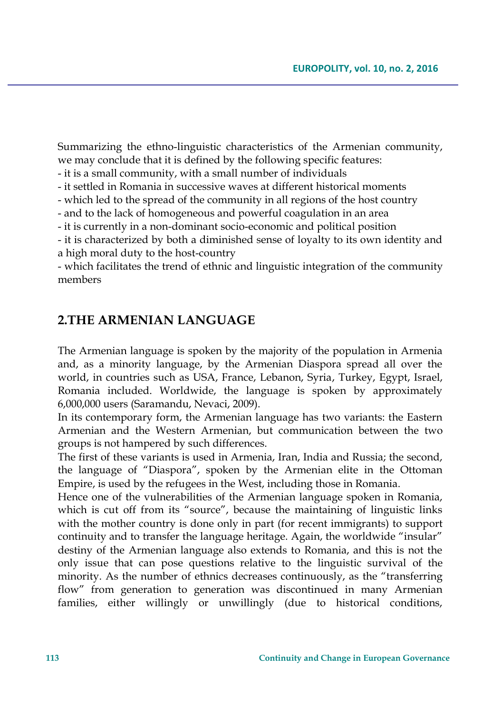Summarizing the ethno-linguistic characteristics of the Armenian community, we may conclude that it is defined by the following specific features:

- it is a small community, with a small number of individuals

- it settled in Romania in successive waves at different historical moments

- which led to the spread of the community in all regions of the host country

- and to the lack of homogeneous and powerful coagulation in an area

- it is currently in a non-dominant socio-economic and political position

- it is characterized by both a diminished sense of loyalty to its own identity and a high moral duty to the host-country

- which facilitates the trend of ethnic and linguistic integration of the community members

### **2.THE ARMENIAN LANGUAGE**

The Armenian language is spoken by the majority of the population in Armenia and, as a minority language, by the Armenian Diaspora spread all over the world, in countries such as USA, France, Lebanon, Syria, Turkey, Egypt, Israel, Romania included. Worldwide, the language is spoken by approximately 6,000,000 users (Saramandu, Nevaci, 2009).

In its contemporary form, the Armenian language has two variants: the Eastern Armenian and the Western Armenian, but communication between the two groups is not hampered by such differences.

The first of these variants is used in Armenia, Iran, India and Russia; the second, the language of "Diaspora", spoken by the Armenian elite in the Ottoman Empire, is used by the refugees in the West, including those in Romania.

Hence one of the vulnerabilities of the Armenian language spoken in Romania, which is cut off from its "source", because the maintaining of linguistic links with the mother country is done only in part (for recent immigrants) to support continuity and to transfer the language heritage. Again, the worldwide "insular" destiny of the Armenian language also extends to Romania, and this is not the only issue that can pose questions relative to the linguistic survival of the minority. As the number of ethnics decreases continuously, as the "transferring flow" from generation to generation was discontinued in many Armenian families, either willingly or unwillingly (due to historical conditions,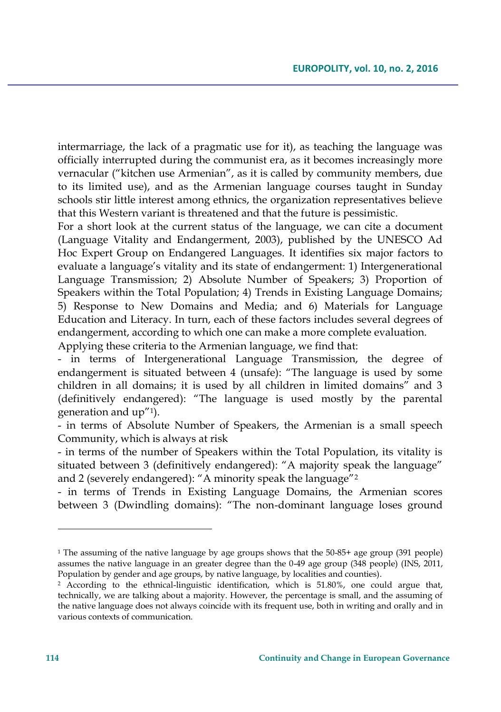intermarriage, the lack of a pragmatic use for it), as teaching the language was officially interrupted during the communist era, as it becomes increasingly more vernacular ("kitchen use Armenian", as it is called by community members, due to its limited use), and as the Armenian language courses taught in Sunday schools stir little interest among ethnics, the organization representatives believe that this Western variant is threatened and that the future is pessimistic.

For a short look at the current status of the language, we can cite a document (Language Vitality and Endangerment, 2003), published by the UNESCO Ad Hoc Expert Group on Endangered Languages. It identifies six major factors to evaluate a language's vitality and its state of endangerment: 1) Intergenerational Language Transmission; 2) Absolute Number of Speakers; 3) Proportion of Speakers within the Total Population; 4) Trends in Existing Language Domains; 5) Response to New Domains and Media; and 6) Materials for Language Education and Literacy. In turn, each of these factors includes several degrees of endangerment, according to which one can make a more complete evaluation. Applying these criteria to the Armenian language, we find that:

- in terms of Intergenerational Language Transmission, the degree of endangerment is situated between 4 (unsafe): "The language is used by some children in all domains; it is used by all children in limited domains" and 3 (definitively endangered): "The language is used mostly by the parental generation and up"<sup>1</sup> ).

- in terms of Absolute Number of Speakers, the Armenian is a small speech Community, which is always at risk

- in terms of the number of Speakers within the Total Population, its vitality is situated between 3 (definitively endangered): "A majority speak the language" and 2 (severely endangered): "A minority speak the language"<sup>2</sup>

- in terms of Trends in Existing Language Domains, the Armenian scores between 3 (Dwindling domains): "The non-dominant language loses ground

 $\overline{\phantom{a}}$ 

<sup>1</sup> The assuming of the native language by age groups shows that the 50-85+ age group (391 people) assumes the native language in an greater degree than the 0-49 age group (348 people) (INS, 2011, Population by gender and age groups, by native language, by localities and counties).

<sup>2</sup> According to the ethnical-linguistic identification, which is 51.80%, one could argue that, technically, we are talking about a majority. However, the percentage is small, and the assuming of the native language does not always coincide with its frequent use, both in writing and orally and in various contexts of communication.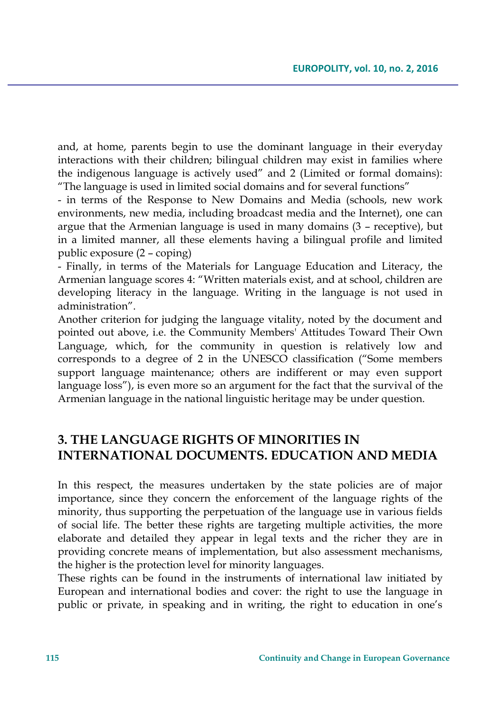and, at home, parents begin to use the dominant language in their everyday interactions with their children; bilingual children may exist in families where the indigenous language is actively used" and 2 (Limited or formal domains): "The language is used in limited social domains and for several functions"

- in terms of the Response to New Domains and Media (schools, new work environments, new media, including broadcast media and the Internet), one can argue that the Armenian language is used in many domains (3 – receptive), but in a limited manner, all these elements having a bilingual profile and limited public exposure (2 – coping)

- Finally, in terms of the Materials for Language Education and Literacy, the Armenian language scores 4: "Written materials exist, and at school, children are developing literacy in the language. Writing in the language is not used in administration".

Another criterion for judging the language vitality, noted by the document and pointed out above, i.e. the Community Members' Attitudes Toward Their Own Language, which, for the community in question is relatively low and corresponds to a degree of 2 in the UNESCO classification ("Some members support language maintenance; others are indifferent or may even support language loss"), is even more so an argument for the fact that the survival of the Armenian language in the national linguistic heritage may be under question.

## **3. THE LANGUAGE RIGHTS OF MINORITIES IN INTERNATIONAL DOCUMENTS. EDUCATION AND MEDIA**

In this respect, the measures undertaken by the state policies are of major importance, since they concern the enforcement of the language rights of the minority, thus supporting the perpetuation of the language use in various fields of social life. The better these rights are targeting multiple activities, the more elaborate and detailed they appear in legal texts and the richer they are in providing concrete means of implementation, but also assessment mechanisms, the higher is the protection level for minority languages.

These rights can be found in the instruments of international law initiated by European and international bodies and cover: the right to use the language in public or private, in speaking and in writing, the right to education in one's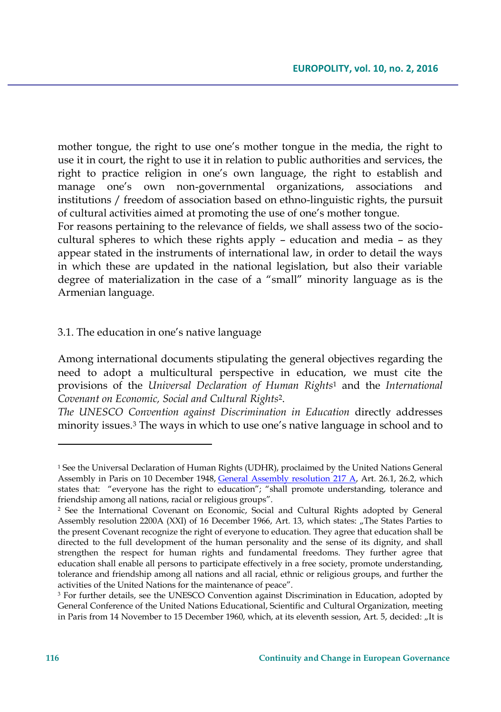mother tongue, the right to use one's mother tongue in the media, the right to use it in court, the right to use it in relation to public authorities and services, the right to practice religion in one's own language, the right to establish and manage one's own non-governmental organizations, associations and institutions / freedom of association based on ethno-linguistic rights, the pursuit of cultural activities aimed at promoting the use of one's mother tongue.

For reasons pertaining to the relevance of fields, we shall assess two of the sociocultural spheres to which these rights apply – education and media – as they appear stated in the instruments of international law, in order to detail the ways in which these are updated in the national legislation, but also their variable degree of materialization in the case of a "small" minority language as is the Armenian language.

### 3.1. The education in one's native language

Among international documents stipulating the general objectives regarding the need to adopt a multicultural perspective in education, we must cite the provisions of the *Universal Declaration of Human Rights*<sup>1</sup> and the *International Covenant on Economic, Social and Cultural Rights*<sup>2</sup> .

*The UNESCO Convention against Discrimination in Education* directly addresses minority issues.<sup>3</sup> The ways in which to use one's native language in school and to

<sup>1</sup> See the Universal Declaration of Human Rights (UDHR), proclaimed by the United Nations General Assembly in Paris on 10 December 1948, [General Assembly resolution 217 A,](http://daccess-dds-ny.un.org/doc/RESOLUTION/GEN/NR0/043/88/IMG/NR004388.pdf?OpenElement) Art. 26.1, 26.2, which states that: "everyone has the right to education"; "shall promote understanding, tolerance and friendship among all nations, racial or religious groups".

<sup>2</sup> See the International Covenant on Economic, Social and Cultural Rights adopted by General Assembly resolution 2200A (XXI) of 16 December 1966, Art. 13, which states: "The States Parties to the present Covenant recognize the right of everyone to education. They agree that education shall be directed to the full development of the human personality and the sense of its dignity, and shall strengthen the respect for human rights and fundamental freedoms. They further agree that education shall enable all persons to participate effectively in a free society, promote understanding, tolerance and friendship among all nations and all racial, ethnic or religious groups, and further the activities of the United Nations for the maintenance of peace".

<sup>3</sup> For further details, see the UNESCO Convention against Discrimination in Education, adopted by General Conference of the United Nations Educational, Scientific and Cultural Organization, meeting in Paris from 14 November to 15 December 1960, which, at its eleventh session, Art. 5, decided: "It is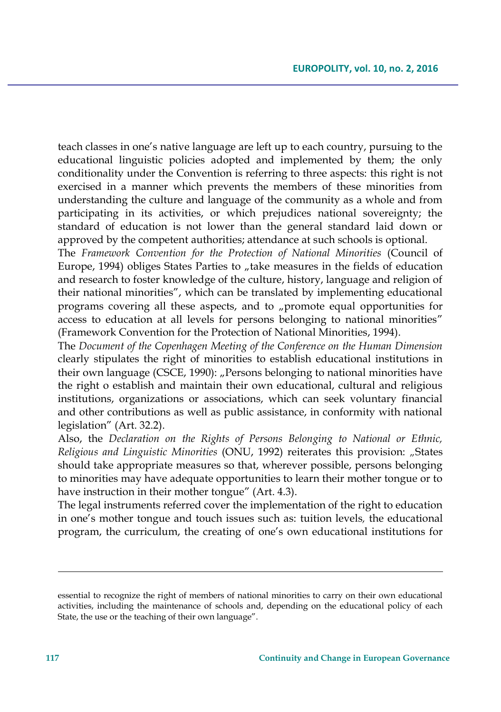teach classes in one's native language are left up to each country, pursuing to the educational linguistic policies adopted and implemented by them; the only conditionality under the Convention is referring to three aspects: this right is not exercised in a manner which prevents the members of these minorities from understanding the culture and language of the community as a whole and from participating in its activities, or which prejudices national sovereignty; the standard of education is not lower than the general standard laid down or approved by the competent authorities; attendance at such schools is optional.

The *Framework Convention for the Protection of National Minorities* (Council of Europe, 1994) obliges States Parties to "take measures in the fields of education and research to foster knowledge of the culture, history, language and religion of their national minorities", which can be translated by implementing educational programs covering all these aspects, and to "promote equal opportunities for access to education at all levels for persons belonging to national minorities" (Framework Convention for the Protection of National Minorities, 1994).

The *Document of the Copenhagen Meeting of the Conference on the Human Dimension* clearly stipulates the right of minorities to establish educational institutions in their own language (CSCE, 1990): "Persons belonging to national minorities have the right o establish and maintain their own educational, cultural and religious institutions, organizations or associations, which can seek voluntary financial and other contributions as well as public assistance, in conformity with national legislation" (Art. 32.2).

Also, the *Declaration on the Rights of Persons Belonging to National or Ethnic, Religious and Linguistic Minorities* (ONU, 1992) reiterates this provision: *"*States should take appropriate measures so that, wherever possible, persons belonging to minorities may have adequate opportunities to learn their mother tongue or to have instruction in their mother tongue" (Art. 4.3).

The legal instruments referred cover the implementation of the right to education in one's mother tongue and touch issues such as: tuition levels*,* the educational program, the curriculum, the creating of one's own educational institutions for

 $\overline{\phantom{a}}$ 

essential to recognize the right of members of national minorities to carry on their own educational activities, including the maintenance of schools and, depending on the educational policy of each State, the use or the teaching of their own language".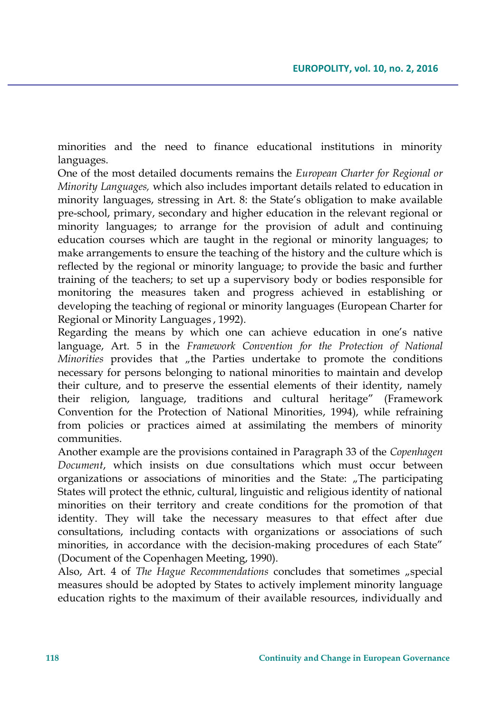minorities and the need to finance educational institutions in minority languages.

One of the most detailed documents remains the *European Charter for Regional or Minority Languages,* which also includes important details related to education in minority languages, stressing in Art. 8: the State's obligation to make available pre-school, primary, secondary and higher education in the relevant regional or minority languages; to arrange for the provision of adult and continuing education courses which are taught in the regional or minority languages; to make arrangements to ensure the teaching of the history and the culture which is reflected by the regional or minority language; to provide the basic and further training of the teachers; to set up a supervisory body or bodies responsible for monitoring the measures taken and progress achieved in establishing or developing the teaching of regional or minority languages (European Charter for Regional or Minority Languages , 1992).

Regarding the means by which one can achieve education in one's native language, Art. 5 in the *Framework Convention for the Protection of National Minorities* provides that "the Parties undertake to promote the conditions" necessary for persons belonging to national minorities to maintain and develop their culture, and to preserve the essential elements of their identity, namely their religion, language, traditions and cultural heritage" (Framework Convention for the Protection of National Minorities, 1994), while refraining from policies or practices aimed at assimilating the members of minority communities.

Another example are the provisions contained in Paragraph 33 of the *Copenhagen Document*, which insists on due consultations which must occur between organizations or associations of minorities and the State: "The participating States will protect the ethnic, cultural, linguistic and religious identity of national minorities on their territory and create conditions for the promotion of that identity. They will take the necessary measures to that effect after due consultations, including contacts with organizations or associations of such minorities, in accordance with the decision-making procedures of each State" (Document of the Copenhagen Meeting, 1990).

Also, Art. 4 of *The Hague Recommendations* concludes that sometimes "special measures should be adopted by States to actively implement minority language education rights to the maximum of their available resources, individually and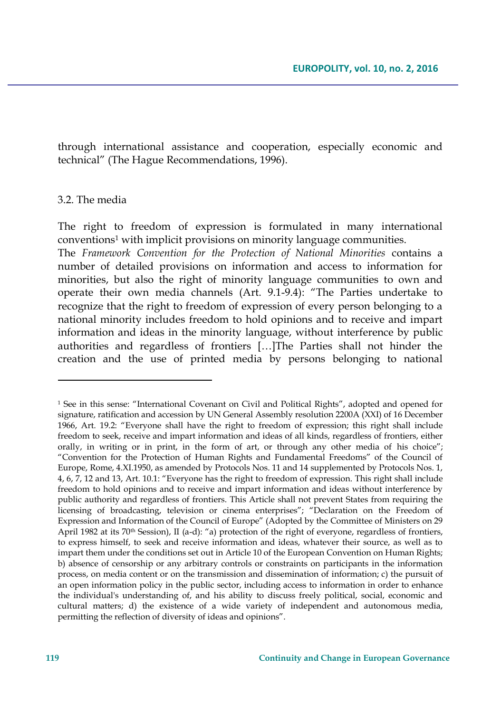through international assistance and cooperation, especially economic and technical" (The Hague Recommendations, 1996).

#### 3.2. The media

The right to freedom of expression is formulated in many international conventions<sup>1</sup> with implicit provisions on minority language communities.

The *Framework Convention for the Protection of National Minorities* contains a number of detailed provisions on information and access to information for minorities, but also the right of minority language communities to own and operate their own media channels (Art. 9.1-9.4): "The Parties undertake to recognize that the right to freedom of expression of every person belonging to a national minority includes freedom to hold opinions and to receive and impart information and ideas in the minority language, without interference by public authorities and regardless of frontiers […]The Parties shall not hinder the creation and the use of printed media by persons belonging to national

<sup>1</sup> See in this sense: "International Covenant on Civil and Political Rights", adopted and opened for signature, ratification and accession by UN General Assembly resolution 2200A (XXI) of 16 December 1966, Art. 19.2: "Everyone shall have the right to freedom of expression; this right shall include freedom to seek, receive and impart information and ideas of all kinds, regardless of frontiers, either orally, in writing or in print, in the form of art, or through any other media of his choice"; "Convention for the Protection of Human Rights and Fundamental Freedoms" of the Council of Europe, Rome, 4.XI.1950, as amended by Protocols Nos. 11 and 14 supplemented by Protocols Nos. 1, 4, 6, 7, 12 and 13, Art. 10.1: "Everyone has the right to freedom of expression. This right shall include freedom to hold opinions and to receive and impart information and ideas without interference by public authority and regardless of frontiers. This Article shall not prevent States from requiring the licensing of broadcasting, television or cinema enterprises"; "Declaration on the Freedom of Expression and Information of the Council of Europe" (Adopted by the Committee of Ministers on 29 April 1982 at its 70<sup>th</sup> Session), II (a-d): "a) protection of the right of everyone, regardless of frontiers, to express himself, to seek and receive information and ideas, whatever their source, as well as to impart them under the conditions set out in Article 10 of the European Convention on Human Rights; b) absence of censorship or any arbitrary controls or constraints on participants in the information process, on media content or on the transmission and dissemination of information; c) the pursuit of an open information policy in the public sector, including access to information in order to enhance the individual's understanding of, and his ability to discuss freely political, social, economic and cultural matters; d) the existence of a wide variety of independent and autonomous media, permitting the reflection of diversity of ideas and opinions".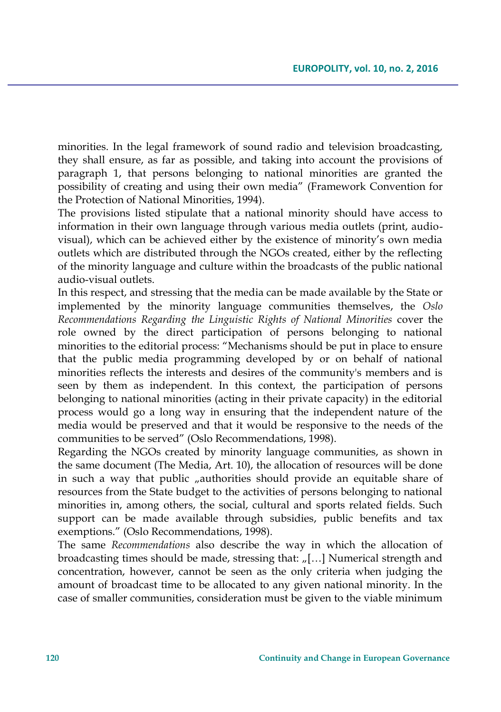minorities. In the legal framework of sound radio and television broadcasting, they shall ensure, as far as possible, and taking into account the provisions of paragraph 1, that persons belonging to national minorities are granted the possibility of creating and using their own media" (Framework Convention for the Protection of National Minorities, 1994).

The provisions listed stipulate that a national minority should have access to information in their own language through various media outlets (print, audiovisual), which can be achieved either by the existence of minority's own media outlets which are distributed through the NGOs created, either by the reflecting of the minority language and culture within the broadcasts of the public national audio-visual outlets.

In this respect, and stressing that the media can be made available by the State or implemented by the minority language communities themselves, the *Oslo Recommendations Regarding the Linguistic Rights of National Minorities* cover the role owned by the direct participation of persons belonging to national minorities to the editorial process: "Mechanisms should be put in place to ensure that the public media programming developed by or on behalf of national minorities reflects the interests and desires of the community's members and is seen by them as independent. In this context, the participation of persons belonging to national minorities (acting in their private capacity) in the editorial process would go a long way in ensuring that the independent nature of the media would be preserved and that it would be responsive to the needs of the communities to be served" (Oslo Recommendations, 1998).

Regarding the NGOs created by minority language communities, as shown in the same document (The Media, Art. 10), the allocation of resources will be done in such a way that public "authorities should provide an equitable share of resources from the State budget to the activities of persons belonging to national minorities in, among others, the social, cultural and sports related fields. Such support can be made available through subsidies, public benefits and tax exemptions." (Oslo Recommendations, 1998).

The same *Recommendations* also describe the way in which the allocation of broadcasting times should be made, stressing that:  $\eta$ [...] Numerical strength and concentration, however, cannot be seen as the only criteria when judging the amount of broadcast time to be allocated to any given national minority. In the case of smaller communities, consideration must be given to the viable minimum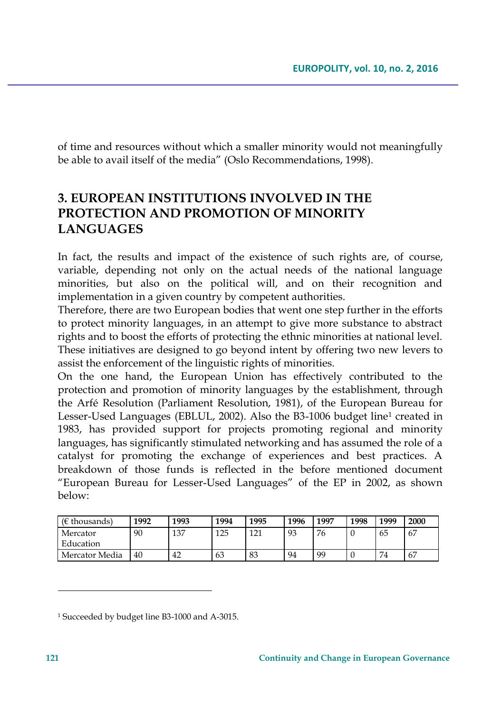of time and resources without which a smaller minority would not meaningfully be able to avail itself of the media" (Oslo Recommendations, 1998).

# **3. EUROPEAN INSTITUTIONS INVOLVED IN THE PROTECTION AND PROMOTION OF MINORITY LANGUAGES**

In fact, the results and impact of the existence of such rights are, of course, variable, depending not only on the actual needs of the national language minorities, but also on the political will, and on their recognition and implementation in a given country by competent authorities.

Therefore, there are two European bodies that went one step further in the efforts to protect minority languages, in an attempt to give more substance to abstract rights and to boost the efforts of protecting the ethnic minorities at national level. These initiatives are designed to go beyond intent by offering two new levers to assist the enforcement of the linguistic rights of minorities.

On the one hand, the European Union has effectively contributed to the protection and promotion of minority languages by the establishment, through the Arfé Resolution (Parliament Resolution, 1981), of the European Bureau for Lesser-Used Languages (EBLUL, 2002). Also the B3-1006 budget line<sup>1</sup> created in 1983, has provided support for projects promoting regional and minority languages, has significantly stimulated networking and has assumed the role of a catalyst for promoting the exchange of experiences and best practices. A breakdown of those funds is reflected in the before mentioned document "European Bureau for Lesser-Used Languages" of the EP in 2002, as shown below:

| ( $\epsilon$ thousands) | 1992 | 1993 | 1994 | 1995 | 1996 | 1997 | 1998 | 1999 | 2000 |
|-------------------------|------|------|------|------|------|------|------|------|------|
| Mercator                | 90   | 137  | 125  | 121  | 93   | 76   |      | 65   | 67   |
| Education               |      |      |      |      |      |      |      |      |      |
| Mercator Media          | 40   | 42   | 63   | 83   | 94   | 99   |      | 74   | 67   |

<sup>1</sup> Succeeded by budget line B3-1000 and A-3015.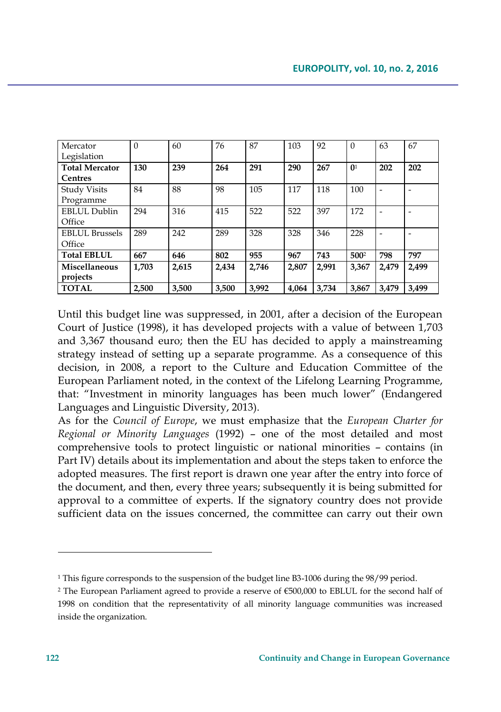| Mercator              | $\theta$ | 60    | 76    | 87    | 103   | 92    | $\mathbf{0}$     | 63    | 67    |
|-----------------------|----------|-------|-------|-------|-------|-------|------------------|-------|-------|
| Legislation           |          |       |       |       |       |       |                  |       |       |
| <b>Total Mercator</b> | 130      | 239   | 264   | 291   | 290   | 267   | $\mathbf{0}^1$   | 202   | 202   |
| <b>Centres</b>        |          |       |       |       |       |       |                  |       |       |
| <b>Study Visits</b>   | 84       | 88    | 98    | 105   | 117   | 118   | 100              | ۰     |       |
| Programme             |          |       |       |       |       |       |                  |       |       |
| EBLUL Dublin          | 294      | 316   | 415   | 522   | 522   | 397   | 172              |       |       |
| Office                |          |       |       |       |       |       |                  |       |       |
| <b>EBLUL Brussels</b> | 289      | 242   | 289   | 328   | 328   | 346   | 228              |       |       |
| Office                |          |       |       |       |       |       |                  |       |       |
| <b>Total EBLUL</b>    | 667      | 646   | 802   | 955   | 967   | 743   | 500 <sup>2</sup> | 798   | 797   |
| Miscellaneous         | 1,703    | 2,615 | 2,434 | 2.746 | 2,807 | 2.991 | 3.367            | 2,479 | 2.499 |
| projects              |          |       |       |       |       |       |                  |       |       |
| <b>TOTAL</b>          | 2,500    | 3.500 | 3.500 | 3,992 | 4.064 | 3.734 | 3.867            | 3.479 | 3.499 |

Until this budget line was suppressed, in 2001, after a decision of the European Court of Justice (1998), it has developed projects with a value of between 1,703 and 3,367 thousand euro; then the EU has decided to apply a mainstreaming strategy instead of setting up a separate programme. As a consequence of this decision, in 2008, a report to the Culture and Education Committee of the European Parliament noted, in the context of the Lifelong Learning Programme, that: "Investment in minority languages has been much lower" (Endangered Languages and Linguistic Diversity, 2013).

As for the *Council of Europe*, we must emphasize that the *European Charter for Regional or Minority Languages* (1992) – one of the most detailed and most comprehensive tools to protect linguistic or national minorities – contains (in Part IV) details about its implementation and about the steps taken to enforce the adopted measures. The first report is drawn one year after the entry into force of the document, and then, every three years; subsequently it is being submitted for approval to a committee of experts. If the signatory country does not provide sufficient data on the issues concerned, the committee can carry out their own

<sup>&</sup>lt;sup>1</sup> This figure corresponds to the suspension of the budget line B3-1006 during the 98/99 period.

<sup>2</sup> The European Parliament agreed to provide a reserve of €500,000 to EBLUL for the second half of 1998 on condition that the representativity of all minority language communities was increased inside the organization.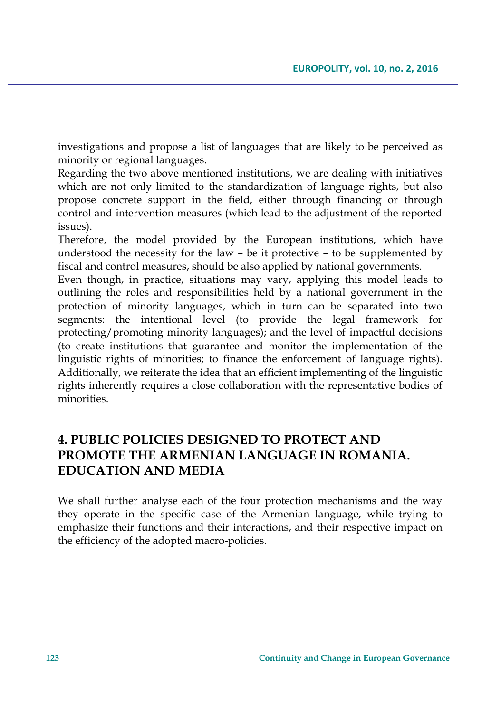investigations and propose a list of languages that are likely to be perceived as minority or regional languages.

Regarding the two above mentioned institutions, we are dealing with initiatives which are not only limited to the standardization of language rights, but also propose concrete support in the field, either through financing or through control and intervention measures (which lead to the adjustment of the reported issues).

Therefore, the model provided by the European institutions, which have understood the necessity for the law – be it protective – to be supplemented by fiscal and control measures, should be also applied by national governments.

Even though, in practice, situations may vary, applying this model leads to outlining the roles and responsibilities held by a national government in the protection of minority languages, which in turn can be separated into two segments: the intentional level (to provide the legal framework for protecting/promoting minority languages); and the level of impactful decisions (to create institutions that guarantee and monitor the implementation of the linguistic rights of minorities; to finance the enforcement of language rights). Additionally, we reiterate the idea that an efficient implementing of the linguistic rights inherently requires a close collaboration with the representative bodies of minorities.

# **4. PUBLIC POLICIES DESIGNED TO PROTECT AND PROMOTE THE ARMENIAN LANGUAGE IN ROMANIA. EDUCATION AND MEDIA**

We shall further analyse each of the four protection mechanisms and the way they operate in the specific case of the Armenian language, while trying to emphasize their functions and their interactions, and their respective impact on the efficiency of the adopted macro-policies.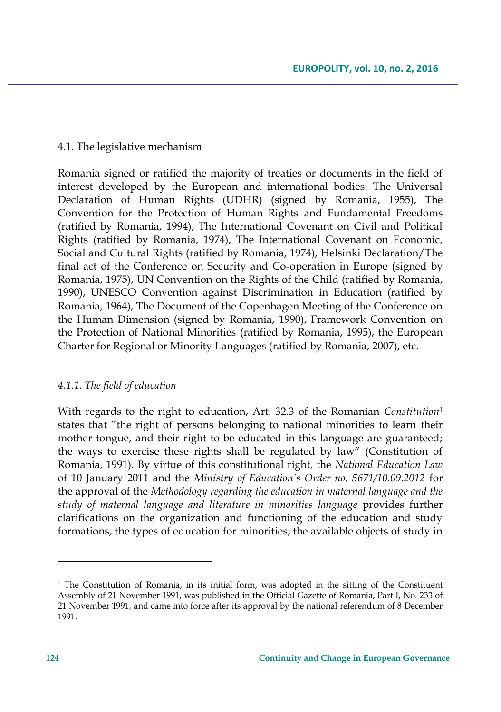### 4.1. The legislative mechanism

Romania signed or ratified the majority of treaties or documents in the field of interest developed by the European and international bodies: The Universal Declaration of Human Rights (UDHR) (signed by Romania, 1955), The Convention for the Protection of Human Rights and Fundamental Freedoms (ratified by Romania, 1994), The International Covenant on Civil and Political Rights (ratified by Romania, 1974), The International Covenant on Economic, Social and Cultural Rights (ratified by Romania, 1974), Helsinki Declaration/The final act of the Conference on Security and Co-operation in Europe (signed by Romania, 1975), UN Convention on the Rights of the Child (ratified by Romania, 1990), UNESCO Convention against Discrimination in Education (ratified by Romania, 1964), The Document of the Copenhagen Meeting of the Conference on the Human Dimension (signed by Romania, 1990), Framework Convention on the Protection of National Minorities (ratified by Romania, 1995), the European Charter for Regional or Minority Languages (ratified by Romania, 2007), etc.

### *4.1.1. The field of education*

With regards to the right to education, Art. 32.3 of the Romanian *Constitution*<sup>1</sup> states that "the right of persons belonging to national minorities to learn their mother tongue, and their right to be educated in this language are guaranteed; the ways to exercise these rights shall be regulated by law" (Constitution of Romania, 1991). By virtue of this constitutional right, the *National Education Law*  of 10 January 2011 and the *Ministry of Education's Order no. 5671/10.09.2012* for the approval of the *Methodology regarding the education in maternal language and the study of maternal language and literature in minorities language* provides further clarifications on the organization and functioning of the education and study formations, the types of education for minorities; the available objects of study in

<sup>&</sup>lt;sup>1</sup> The Constitution of Romania, in its initial form, was adopted in the sitting of the Constituent Assembly of 21 November 1991, was published in the Official Gazette of Romania, Part I, No. 233 of 21 November 1991, and came into force after its approval by the national referendum of 8 December 1991.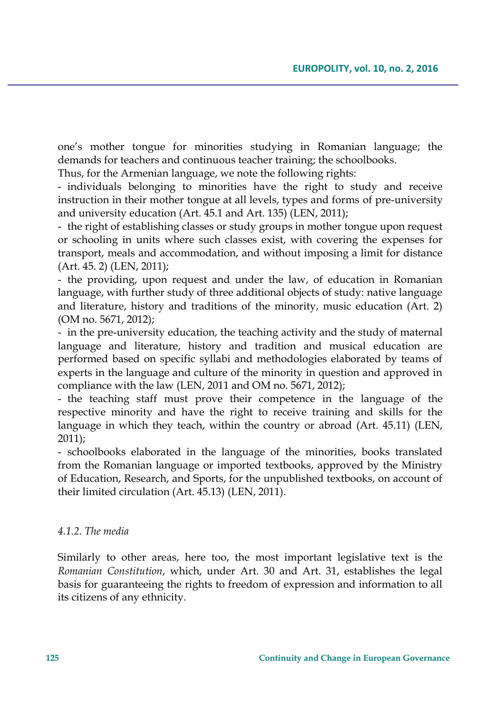one's mother tongue for minorities studying in Romanian language; the demands for teachers and continuous teacher training; the schoolbooks.

Thus, for the Armenian language, we note the following rights:

- individuals belonging to minorities have the right to study and receive instruction in their mother tongue at all levels, types and forms of pre-university and university education (Art. 45.1 and Art. 135) (LEN, 2011);

- the right of establishing classes or study groups in mother tongue upon request or schooling in units where such classes exist, with covering the expenses for transport, meals and accommodation, and without imposing a limit for distance (Art. 45. 2) (LEN, 2011);

- the providing, upon request and under the law, of education in Romanian language, with further study of three additional objects of study: native language and literature, history and traditions of the minority, music education (Art. 2) (OM no. 5671, 2012);

- in the pre-university education, the teaching activity and the study of maternal language and literature, history and tradition and musical education are performed based on specific syllabi and methodologies elaborated by teams of experts in the language and culture of the minority in question and approved in compliance with the law (LEN, 2011 and OM no. 5671, 2012);

- the teaching staff must prove their competence in the language of the respective minority and have the right to receive training and skills for the language in which they teach, within the country or abroad (Art. 45.11) (LEN, 2011);

- schoolbooks elaborated in the language of the minorities, books translated from the Romanian language or imported textbooks, approved by the Ministry of Education, Research, and Sports, for the unpublished textbooks, on account of their limited circulation (Art. 45.13) (LEN, 2011).

### *4.1.2. The media*

Similarly to other areas, here too, the most important legislative text is the *Romanian Constitution*, which, under Art. 30 and Art. 31, establishes the legal basis for guaranteeing the rights to freedom of expression and information to all its citizens of any ethnicity.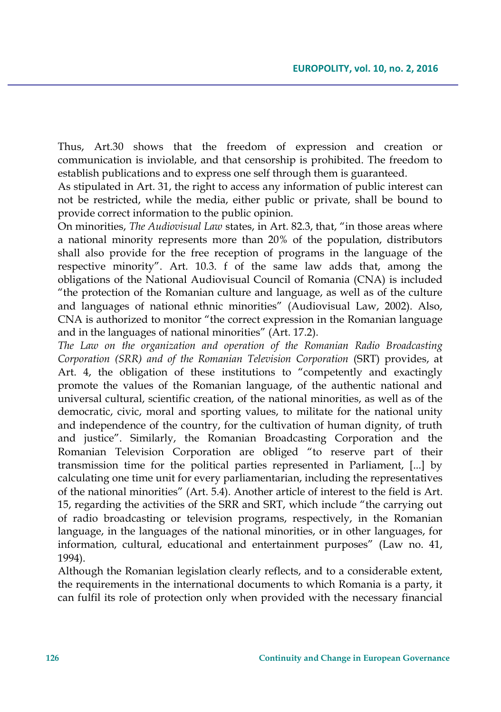Thus, Art.30 shows that the freedom of expression and creation or communication is inviolable, and that censorship is prohibited. The freedom to establish publications and to express one self through them is guaranteed.

As stipulated in Art. 31, the right to access any information of public interest can not be restricted, while the media, either public or private, shall be bound to provide correct information to the public opinion.

On minorities, *The Audiovisual Law* states, in Art. 82.3, that, "in those areas where a national minority represents more than 20% of the population, distributors shall also provide for the free reception of programs in the language of the respective minority". Art. 10.3. f of the same law adds that, among the obligations of the National Audiovisual Council of Romania (CNA) is included "the protection of the Romanian culture and language, as well as of the culture and languages of national ethnic minorities" (Audiovisual Law, 2002). Also, CNA is authorized to monitor "the correct expression in the Romanian language and in the languages of national minorities" (Art. 17.2).

*The Law on the organization and operation of the Romanian Radio Broadcasting Corporation (SRR) and of the Romanian Television Corporation* (SRT) provides, at Art. 4, the obligation of these institutions to "competently and exactingly promote the values of the Romanian language, of the authentic national and universal cultural, scientific creation, of the national minorities, as well as of the democratic, civic, moral and sporting values, to militate for the national unity and independence of the country, for the cultivation of human dignity, of truth and justice". Similarly, the Romanian Broadcasting Corporation and the Romanian Television Corporation are obliged "to reserve part of their transmission time for the political parties represented in Parliament, [...] by calculating one time unit for every parliamentarian, including the representatives of the national minorities" (Art. 5.4). Another article of interest to the field is Art. 15, regarding the activities of the SRR and SRT, which include "the carrying out of radio broadcasting or television programs, respectively, in the Romanian language, in the languages of the national minorities, or in other languages, for information, cultural, educational and entertainment purposes" (Law no. 41, 1994).

Although the Romanian legislation clearly reflects, and to a considerable extent, the requirements in the international documents to which Romania is a party, it can fulfil its role of protection only when provided with the necessary financial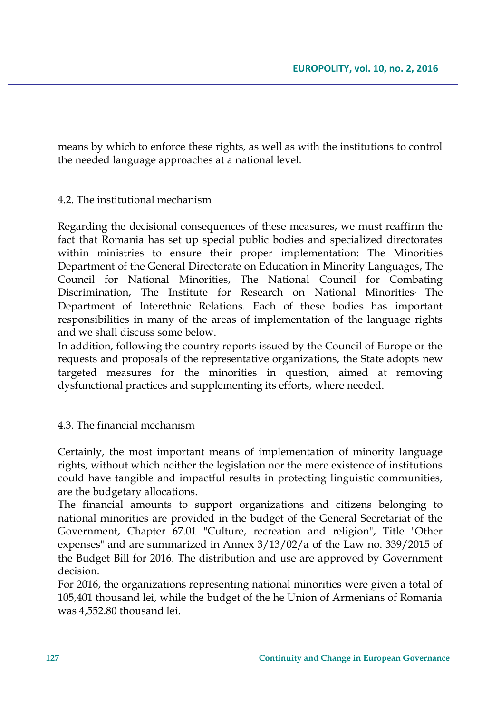means by which to enforce these rights, as well as with the institutions to control the needed language approaches at a national level.

### 4.2. The institutional mechanism

Regarding the decisional consequences of these measures, we must reaffirm the fact that Romania has set up special public bodies and specialized directorates within ministries to ensure their proper implementation: The Minorities Department of the General Directorate on Education in Minority Languages, The Council for National Minorities, The National Council for Combating Discrimination, The Institute for Research on National Minorities, The Department of Interethnic Relations. Each of these bodies has important responsibilities in many of the areas of implementation of the language rights and we shall discuss some below.

In addition, following the country reports issued by the Council of Europe or the requests and proposals of the representative organizations, the State adopts new targeted measures for the minorities in question, aimed at removing dysfunctional practices and supplementing its efforts, where needed.

### 4.3. The financial mechanism

Certainly, the most important means of implementation of minority language rights, without which neither the legislation nor the mere existence of institutions could have tangible and impactful results in protecting linguistic communities, are the budgetary allocations.

The financial amounts to support organizations and citizens belonging to national minorities are provided in the budget of the General Secretariat of the Government, Chapter 67.01 "Culture, recreation and religion", Title "Other expenses" and are summarized in Annex 3/13/02/a of the Law no. 339/2015 of the Budget Bill for 2016. The distribution and use are approved by Government decision.

For 2016, the organizations representing national minorities were given a total of 105,401 thousand lei, while the budget of the he Union of Armenians of Romania was 4,552.80 thousand lei.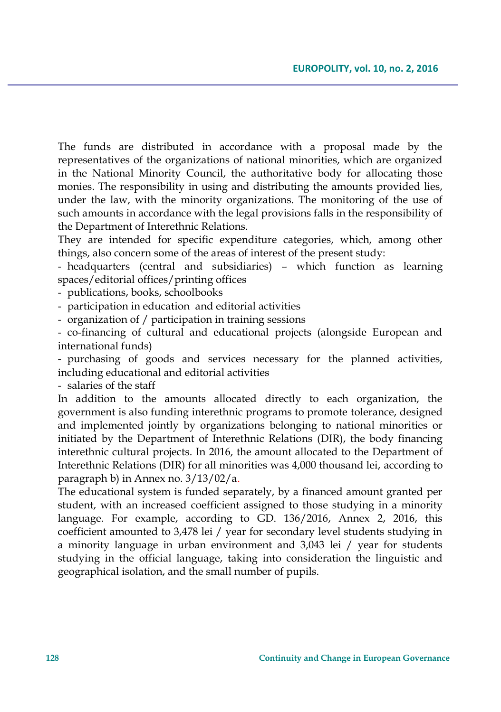The funds are distributed in accordance with a proposal made by the representatives of the organizations of national minorities, which are organized in the National Minority Council, the authoritative body for allocating those monies. The responsibility in using and distributing the amounts provided lies, under the law, with the minority organizations. The monitoring of the use of such amounts in accordance with the legal provisions falls in the responsibility of the Department of Interethnic Relations.

They are intended for specific expenditure categories, which, among other things, also concern some of the areas of interest of the present study:

- headquarters (central and subsidiaries) – which function as learning spaces/editorial offices/printing offices

- publications, books, schoolbooks

- participation in education and editorial activities

- organization of / participation in training sessions

- co-financing of cultural and educational projects (alongside European and international funds)

- purchasing of goods and services necessary for the planned activities, including educational and editorial activities

- salaries of the staff

In addition to the amounts allocated directly to each organization, the government is also funding interethnic programs to promote tolerance, designed and implemented jointly by organizations belonging to national minorities or initiated by the Department of Interethnic Relations (DIR), the body financing interethnic cultural projects. In 2016, the amount allocated to the Department of Interethnic Relations (DIR) for all minorities was 4,000 thousand lei, according to paragraph b) in Annex no. 3/13/02/a.

The educational system is funded separately, by a financed amount granted per student, with an increased coefficient assigned to those studying in a minority language. For example, according to GD. 136/2016, Annex 2, 2016, this coefficient amounted to 3,478 lei / year for secondary level students studying in a minority language in urban environment and 3,043 lei / year for students studying in the official language, taking into consideration the linguistic and geographical isolation, and the small number of pupils.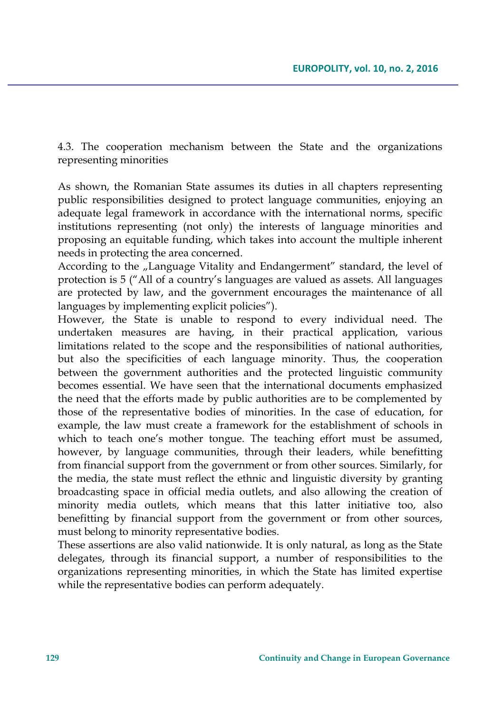4.3. The cooperation mechanism between the State and the organizations representing minorities

As shown, the Romanian State assumes its duties in all chapters representing public responsibilities designed to protect language communities, enjoying an adequate legal framework in accordance with the international norms, specific institutions representing (not only) the interests of language minorities and proposing an equitable funding, which takes into account the multiple inherent needs in protecting the area concerned.

According to the "Language Vitality and Endangerment" standard, the level of protection is 5 ("All of a country's languages are valued as assets. All languages are protected by law, and the government encourages the maintenance of all languages by implementing explicit policies").

However, the State is unable to respond to every individual need. The undertaken measures are having, in their practical application, various limitations related to the scope and the responsibilities of national authorities, but also the specificities of each language minority. Thus, the cooperation between the government authorities and the protected linguistic community becomes essential. We have seen that the international documents emphasized the need that the efforts made by public authorities are to be complemented by those of the representative bodies of minorities. In the case of education, for example, the law must create a framework for the establishment of schools in which to teach one's mother tongue. The teaching effort must be assumed, however, by language communities, through their leaders, while benefitting from financial support from the government or from other sources. Similarly, for the media, the state must reflect the ethnic and linguistic diversity by granting broadcasting space in official media outlets, and also allowing the creation of minority media outlets, which means that this latter initiative too, also benefitting by financial support from the government or from other sources, must belong to minority representative bodies.

These assertions are also valid nationwide. It is only natural, as long as the State delegates, through its financial support, a number of responsibilities to the organizations representing minorities, in which the State has limited expertise while the representative bodies can perform adequately.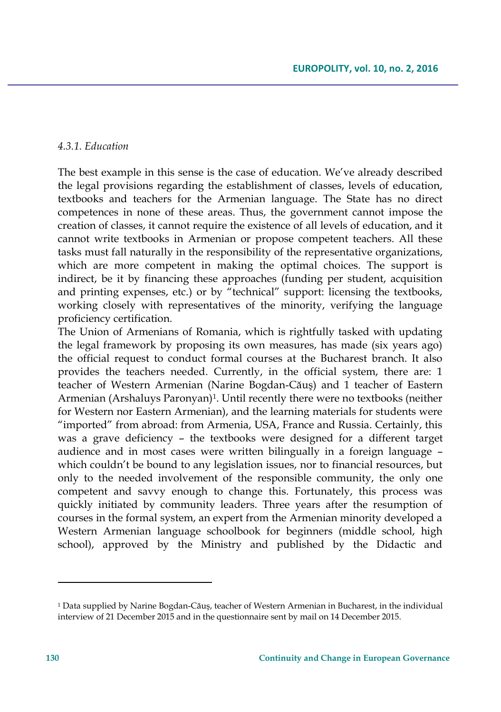#### *4.3.1. Education*

The best example in this sense is the case of education. We've already described the legal provisions regarding the establishment of classes, levels of education, textbooks and teachers for the Armenian language. The State has no direct competences in none of these areas. Thus, the government cannot impose the creation of classes, it cannot require the existence of all levels of education, and it cannot write textbooks in Armenian or propose competent teachers. All these tasks must fall naturally in the responsibility of the representative organizations, which are more competent in making the optimal choices. The support is indirect, be it by financing these approaches (funding per student, acquisition and printing expenses, etc.) or by "technical" support: licensing the textbooks, working closely with representatives of the minority, verifying the language proficiency certification.

The Union of Armenians of Romania, which is rightfully tasked with updating the legal framework by proposing its own measures, has made (six years ago) the official request to conduct formal courses at the Bucharest branch. It also provides the teachers needed. Currently, in the official system, there are: 1 teacher of Western Armenian (Narine Bogdan-Căuş) and 1 teacher of Eastern Armenian (Arshaluys Paronyan)<sup>1</sup> . Until recently there were no textbooks (neither for Western nor Eastern Armenian), and the learning materials for students were "imported" from abroad: from Armenia, USA, France and Russia. Certainly, this was a grave deficiency – the textbooks were designed for a different target audience and in most cases were written bilingually in a foreign language – which couldn't be bound to any legislation issues, nor to financial resources, but only to the needed involvement of the responsible community, the only one competent and savvy enough to change this. Fortunately, this process was quickly initiated by community leaders. Three years after the resumption of courses in the formal system, an expert from the Armenian minority developed a Western Armenian language schoolbook for beginners (middle school, high school), approved by the Ministry and published by the Didactic and

 $1$  Data supplied by Narine Bogdan-Căuş, teacher of Western Armenian in Bucharest, in the individual interview of 21 December 2015 and in the questionnaire sent by mail on 14 December 2015.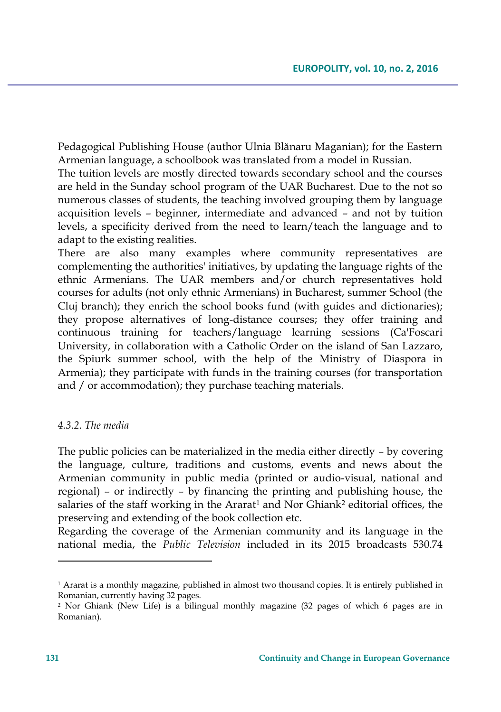Pedagogical Publishing House (author Ulnia Blănaru Maganian); for the Eastern Armenian language, a schoolbook was translated from a model in Russian.

The tuition levels are mostly directed towards secondary school and the courses are held in the Sunday school program of the UAR Bucharest. Due to the not so numerous classes of students, the teaching involved grouping them by language acquisition levels – beginner, intermediate and advanced – and not by tuition levels, a specificity derived from the need to learn/teach the language and to adapt to the existing realities.

There are also many examples where community representatives are complementing the authorities' initiatives, by updating the language rights of the ethnic Armenians. The UAR members and/or church representatives hold courses for adults (not only ethnic Armenians) in Bucharest, summer School (the Cluj branch); they enrich the school books fund (with guides and dictionaries); they propose alternatives of long-distance courses; they offer training and continuous training for teachers/language learning sessions (Ca'Foscari University, in collaboration with a Catholic Order on the island of San Lazzaro, the Spiurk summer school, with the help of the Ministry of Diaspora in Armenia); they participate with funds in the training courses (for transportation and / or accommodation); they purchase teaching materials.

### *4.3.2. The media*

The public policies can be materialized in the media either directly – by covering the language, culture, traditions and customs, events and news about the Armenian community in public media (printed or audio-visual, national and regional) – or indirectly – by financing the printing and publishing house, the salaries of the staff working in the Ararat<sup>1</sup> and Nor Ghiank<sup>2</sup> editorial offices, the preserving and extending of the book collection etc.

Regarding the coverage of the Armenian community and its language in the national media, the *Public Television* included in its 2015 broadcasts 530.74

<sup>&</sup>lt;sup>1</sup> Ararat is a monthly magazine, published in almost two thousand copies. It is entirely published in Romanian, currently having 32 pages.

<sup>2</sup> Nor Ghiank (New Life) is a bilingual monthly magazine (32 pages of which 6 pages are in Romanian).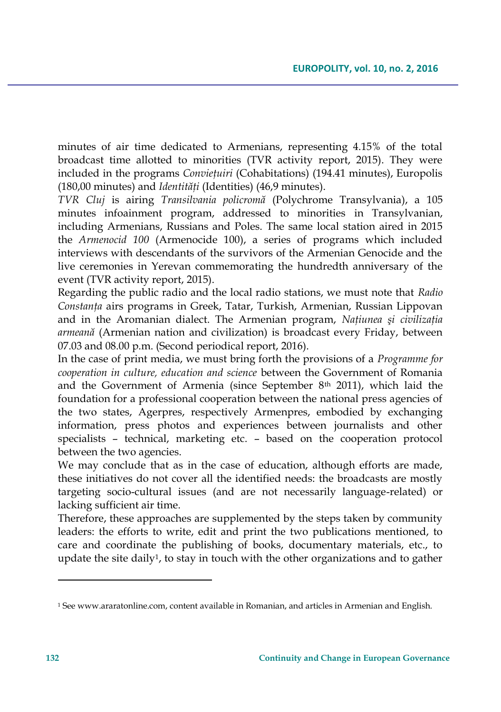minutes of air time dedicated to Armenians, representing 4.15% of the total broadcast time allotted to minorities (TVR activity report, 2015). They were included in the programs *Convieţuiri* (Cohabitations) (194.41 minutes), Europolis (180,00 minutes) and *Identităţi* (Identities) (46,9 minutes).

*TVR Cluj* is airing *Transilvania policromă* (Polychrome Transylvania), a 105 minutes infoainment program, addressed to minorities in Transylvanian, including Armenians, Russians and Poles. The same local station aired in 2015 the *Armenocid 100* (Armenocide 100), a series of programs which included interviews with descendants of the survivors of the Armenian Genocide and the live ceremonies in Yerevan commemorating the hundredth anniversary of the event (TVR activity report, 2015).

Regarding the public radio and the local radio stations, we must note that *Radio Constanţa* airs programs in Greek, Tatar, Turkish, Armenian, Russian Lippovan and in the Aromanian dialect. The Armenian program, *Naţiunea şi civilizaţia armeană* (Armenian nation and civilization) is broadcast every Friday, between 07.03 and 08.00 p.m. (Second periodical report, 2016).

In the case of print media, we must bring forth the provisions of a *Programme for cooperation in culture, education and science* between the Government of Romania and the Government of Armenia (since September  $8<sup>th</sup>$  2011), which laid the foundation for a professional cooperation between the national press agencies of the two states, Agerpres, respectively Armenpres, embodied by exchanging information, press photos and experiences between journalists and other specialists – technical, marketing etc. – based on the cooperation protocol between the two agencies.

We may conclude that as in the case of education, although efforts are made, these initiatives do not cover all the identified needs: the broadcasts are mostly targeting socio-cultural issues (and are not necessarily language-related) or lacking sufficient air time.

Therefore, these approaches are supplemented by the steps taken by community leaders: the efforts to write, edit and print the two publications mentioned, to care and coordinate the publishing of books, documentary materials, etc., to update the site daily<sup>1</sup> , to stay in touch with the other organizations and to gather

 $\overline{\phantom{a}}$ 

 $1$  See www.araratonline.com, content available in Romanian, and articles in Armenian and English.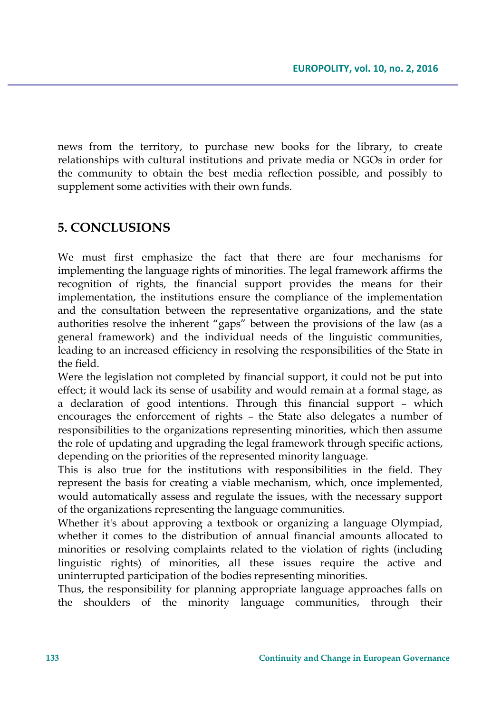news from the territory, to purchase new books for the library, to create relationships with cultural institutions and private media or NGOs in order for the community to obtain the best media reflection possible, and possibly to supplement some activities with their own funds.

# **5. CONCLUSIONS**

We must first emphasize the fact that there are four mechanisms for implementing the language rights of minorities. The legal framework affirms the recognition of rights, the financial support provides the means for their implementation, the institutions ensure the compliance of the implementation and the consultation between the representative organizations, and the state authorities resolve the inherent "gaps" between the provisions of the law (as a general framework) and the individual needs of the linguistic communities, leading to an increased efficiency in resolving the responsibilities of the State in the field.

Were the legislation not completed by financial support, it could not be put into effect; it would lack its sense of usability and would remain at a formal stage, as a declaration of good intentions. Through this financial support – which encourages the enforcement of rights – the State also delegates a number of responsibilities to the organizations representing minorities, which then assume the role of updating and upgrading the legal framework through specific actions, depending on the priorities of the represented minority language.

This is also true for the institutions with responsibilities in the field. They represent the basis for creating a viable mechanism, which, once implemented, would automatically assess and regulate the issues, with the necessary support of the organizations representing the language communities.

Whether it's about approving a textbook or organizing a language Olympiad, whether it comes to the distribution of annual financial amounts allocated to minorities or resolving complaints related to the violation of rights (including linguistic rights) of minorities, all these issues require the active and uninterrupted participation of the bodies representing minorities.

Thus, the responsibility for planning appropriate language approaches falls on the shoulders of the minority language communities, through their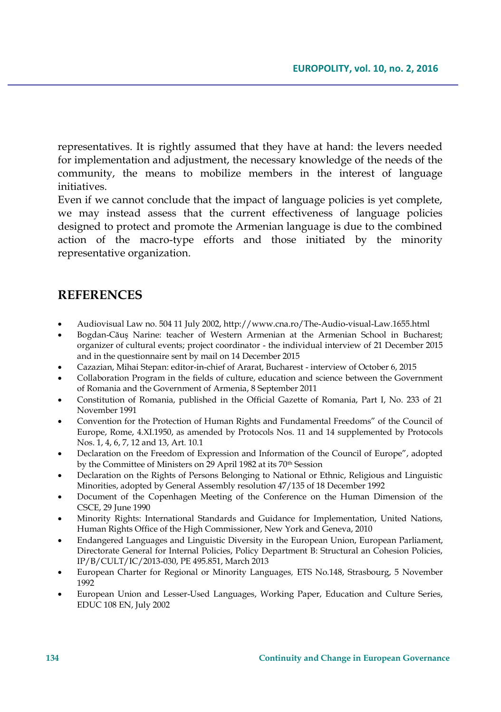representatives. It is rightly assumed that they have at hand: the levers needed for implementation and adjustment, the necessary knowledge of the needs of the community, the means to mobilize members in the interest of language initiatives.

Even if we cannot conclude that the impact of language policies is yet complete, we may instead assess that the current effectiveness of language policies designed to protect and promote the Armenian language is due to the combined action of the macro-type efforts and those initiated by the minority representative organization.

## **REFERENCES**

- Audiovisual Law no. 504 11 July 2002, http://www.cna.ro/The-Audio-visual-Law.1655.html
- Bogdan-Căuş Narine: teacher of Western Armenian at the Armenian School in Bucharest; organizer of cultural events; project coordinator - the individual interview of 21 December 2015 and in the questionnaire sent by mail on 14 December 2015
- Cazazian, Mihai Stepan: editor-in-chief of Ararat, Bucharest interview of October 6, 2015
- Collaboration Program in the fields of culture, education and science between the Government of Romania and the Government of Armenia, 8 September 2011
- Constitution of Romania, published in the Official Gazette of Romania, Part I, No. 233 of 21 November 1991
- Convention for the Protection of Human Rights and Fundamental Freedoms" of the Council of Europe, Rome, 4.XI.1950, as amended by Protocols Nos. 11 and 14 supplemented by Protocols Nos. 1, 4, 6, 7, 12 and 13, Art. 10.1
- Declaration on the Freedom of Expression and Information of the Council of Europe", adopted by the Committee of Ministers on 29 April 1982 at its 70<sup>th</sup> Session
- Declaration on the Rights of Persons Belonging to National or Ethnic, Religious and Linguistic Minorities, adopted by General Assembly resolution 47/135 of 18 December 1992
- Document of the Copenhagen Meeting of the Conference on the Human Dimension of the CSCE, 29 June 1990
- Minority Rights: International Standards and Guidance for Implementation, United Nations, Human Rights Office of the High Commissioner, New York and Geneva, 2010
- Endangered Languages and Linguistic Diversity in the European Union, European Parliament, Directorate General for Internal Policies, Policy Department B: Structural an Cohesion Policies, IP/B/CULT/IC/2013-030, PE 495.851, March 2013
- European Charter for Regional or Minority Languages*,* ETS No.148, Strasbourg, 5 November 1992
- European Union and Lesser-Used Languages, Working Paper, Education and Culture Series, EDUC 108 EN, July 2002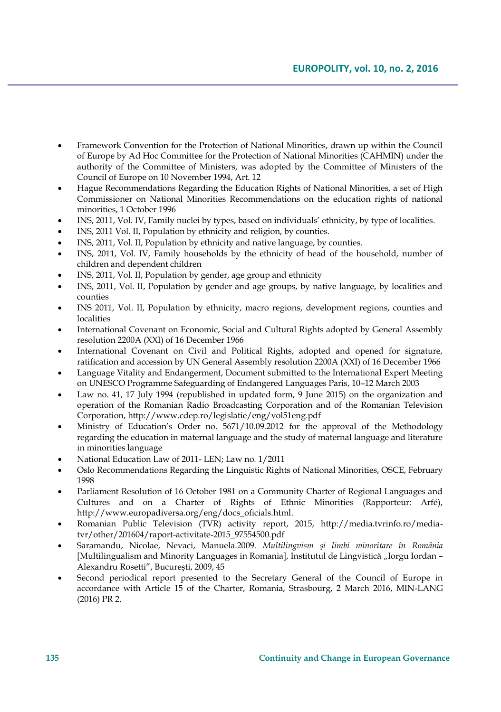- Framework Convention for the Protection of National Minorities, drawn up within the Council of Europe by Ad Hoc Committee for the Protection of National Minorities (CAHMIN) under the authority of the Committee of Ministers, was adopted by the Committee of Ministers of the Council of Europe on 10 November 1994, Art. 12
- Hague Recommendations Regarding the Education Rights of National Minorities, a set of High Commissioner on National Minorities Recommendations on the education rights of national minorities, 1 October 1996
- INS, 2011, Vol. IV, Family nuclei by types, based on individuals' ethnicity, by type of localities.
- INS, 2011 Vol. II, Population by ethnicity and religion, by counties.
- INS, 2011, Vol. II, Population by ethnicity and native language, by counties.
- INS, 2011, Vol. IV, Family households by the ethnicity of head of the household, number of children and dependent children
- INS, 2011, Vol. II, Population by gender, age group and ethnicity
- INS, 2011, Vol. II, Population by gender and age groups, by native language, by localities and counties
- INS 2011, Vol. II, Population by ethnicity, macro regions, development regions, counties and localities
- International Covenant on Economic, Social and Cultural Rights adopted by General Assembly resolution 2200A (XXI) of 16 December 1966
- International Covenant on Civil and Political Rights, adopted and opened for signature, ratification and accession by UN General Assembly resolution 2200A (XXI) of 16 December 1966
- Language Vitality and Endangerment, Document submitted to the International Expert Meeting on UNESCO Programme Safeguarding of Endangered Languages Paris, 10–12 March 2003
- Law no. 41, 17 July 1994 (republished in updated form, 9 June 2015) on the organization and operation of the Romanian Radio Broadcasting Corporation and of the Romanian Television Corporation, http://www.cdep.ro/legislatie/eng/vol51eng.pdf
- Ministry of Education's Order no. 5671/10.09.2012 for the approval of the Methodology regarding the education in maternal language and the study of maternal language and literature in minorities language
- National Education Law of 2011- LEN; Law no*.* 1/2011
- Oslo Recommendations Regarding the Linguistic Rights of National Minorities, OSCE, February 1998
- Parliament Resolution of 16 October 1981 on a Community Charter of Regional Languages and Cultures and on a Charter of Rights of Ethnic Minorities (Rapporteur: Arfé), http://www.europadiversa.org/eng/docs\_oficials.html.
- Romanian Public Television (TVR) activity report, 2015, http://media.tvrinfo.ro/mediatvr/other/201604/raport-activitate-2015\_97554500.pdf
- Saramandu, Nicolae, Nevaci, Manuela.2009. *Multilingvism şi limbi minoritare în România* [Multilingualism and Minority Languages in Romania], Institutul de Lingvistică "Iorgu Iordan -Alexandru Rosetti", Bucureşti, 2009, 45
- Second periodical report presented to the Secretary General of the Council of Europe in accordance with Article 15 of the Charter, Romania, Strasbourg, 2 March 2016, MIN-LANG (2016) PR 2.